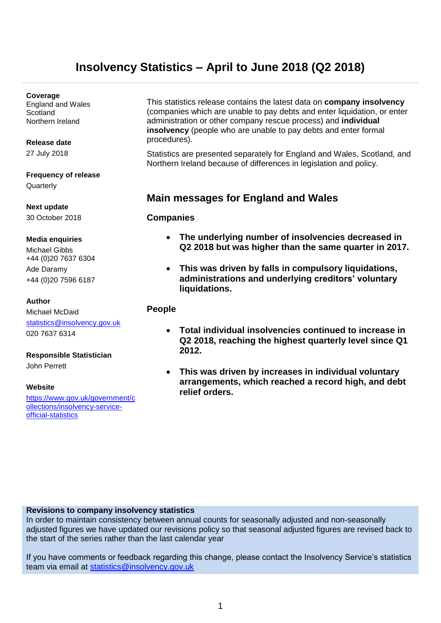# **Insolvency Statistics – April to June 2018 (Q2 2018)**

#### **Coverage**

England and Wales **Scotland** Northern Ireland

#### **Release date**

27 July 2018

## **Frequency of release**

**Quarterly** 

**Next update** 30 October 2018

#### **Media enquiries**

Michael Gibbs +44 (0)20 7637 6304 Ade Daramy +44 (0)20 7596 6187

#### **Author**

Michael McDaid [statistics@insolvency.gov.uk](mailto:statistics@insolvency.gov.uk) 020 7637 6314

#### **Responsible Statistician**

John Perrett

#### **Website**

[https://www.gov.uk/government/c](https://www.gov.uk/government/collections/insolvency-service-official-statistics) [ollections/insolvency-service](https://www.gov.uk/government/collections/insolvency-service-official-statistics)[official-statistics](https://www.gov.uk/government/collections/insolvency-service-official-statistics)

This statistics release contains the latest data on **company insolvency** (companies which are unable to pay debts and enter liquidation, or enter administration or other company rescue process) and **individual insolvency** (people who are unable to pay debts and enter formal procedures).

Statistics are presented separately for England and Wales, Scotland, and Northern Ireland because of differences in legislation and policy.

### **Main messages for England and Wales**

#### **Companies**

- **The underlying number of insolvencies decreased in Q2 2018 but was higher than the same quarter in 2017.**
- **This was driven by falls in compulsory liquidations, administrations and underlying creditors' voluntary liquidations.**

#### **People**

- **Total individual insolvencies continued to increase in Q2 2018, reaching the highest quarterly level since Q1 2012.**
- **This was driven by increases in individual voluntary arrangements, which reached a record high, and debt relief orders.**

#### **Revisions to company insolvency statistics**

In order to maintain consistency between annual counts for seasonally adjusted and non-seasonally adjusted figures we have updated our revisions policy so that seasonal adjusted figures are revised back to the start of the series rather than the last calendar year

If you have comments or feedback regarding this change, please contact the Insolvency Service's statistics team via email at [statistics@insolvency.gov.uk](mailto:statistics@insolvency.gsi.gov.uk)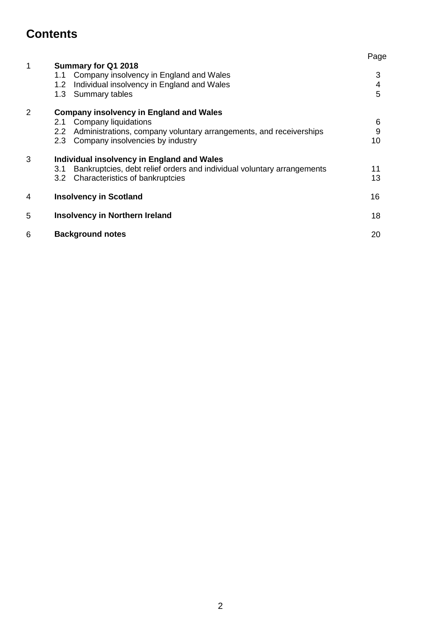# **Contents**

|                |                                                                                                                                                  | Page        |  |  |  |
|----------------|--------------------------------------------------------------------------------------------------------------------------------------------------|-------------|--|--|--|
| 1              | Summary for Q1 2018<br>Company insolvency in England and Wales<br>1.1<br>Individual insolvency in England and Wales<br>1.2<br>1.3 Summary tables | 3<br>4<br>5 |  |  |  |
| $\overline{2}$ | <b>Company insolvency in England and Wales</b>                                                                                                   |             |  |  |  |
|                | <b>Company liquidations</b><br>2.1                                                                                                               | 6           |  |  |  |
|                | Administrations, company voluntary arrangements, and receiverships<br>2.2                                                                        | $9\,$       |  |  |  |
|                | Company insolvencies by industry<br>2.3                                                                                                          | 10          |  |  |  |
| 3              | Individual insolvency in England and Wales                                                                                                       |             |  |  |  |
|                | Bankruptcies, debt relief orders and individual voluntary arrangements<br>3.1                                                                    | 11          |  |  |  |
|                | 3.2 Characteristics of bankruptcies                                                                                                              | 13          |  |  |  |
| 4              | <b>Insolvency in Scotland</b>                                                                                                                    | 16          |  |  |  |
| 5              | <b>Insolvency in Northern Ireland</b>                                                                                                            | 18          |  |  |  |
| 6              | <b>Background notes</b>                                                                                                                          | 20          |  |  |  |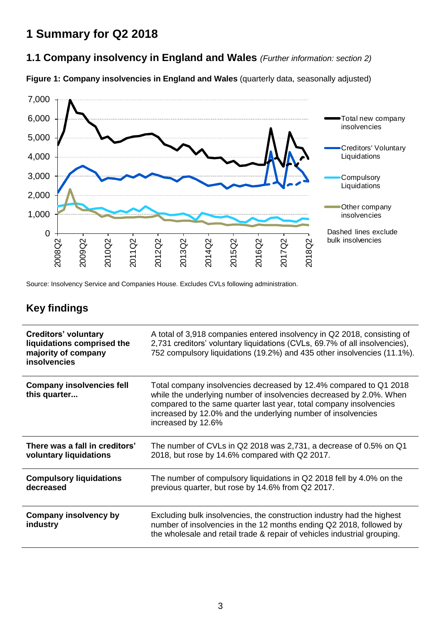# **1 Summary for Q2 2018**

## **1.1 Company insolvency in England and Wales** *(Further information: section 2)*

**Figure 1: Company insolvencies in England and Wales** (quarterly data, seasonally adjusted)



Source: Insolvency Service and Companies House. Excludes CVLs following administration.

# **Key findings**

| <b>Creditors' voluntary</b><br>liquidations comprised the<br>majority of company<br><b>insolvencies</b> | A total of 3,918 companies entered insolvency in Q2 2018, consisting of<br>2,731 creditors' voluntary liquidations (CVLs, 69.7% of all insolvencies),<br>752 compulsory liquidations (19.2%) and 435 other insolvencies (11.1%).                                                                     |
|---------------------------------------------------------------------------------------------------------|------------------------------------------------------------------------------------------------------------------------------------------------------------------------------------------------------------------------------------------------------------------------------------------------------|
| <b>Company insolvencies fell</b><br>this quarter                                                        | Total company insolvencies decreased by 12.4% compared to Q1 2018<br>while the underlying number of insolvencies decreased by 2.0%. When<br>compared to the same quarter last year, total company insolvencies<br>increased by 12.0% and the underlying number of insolvencies<br>increased by 12.6% |
| There was a fall in creditors'<br>voluntary liquidations                                                | The number of CVLs in Q2 2018 was 2,731, a decrease of 0.5% on Q1<br>2018, but rose by 14.6% compared with Q2 2017.                                                                                                                                                                                  |
| <b>Compulsory liquidations</b><br>decreased                                                             | The number of compulsory liquidations in Q2 2018 fell by 4.0% on the<br>previous quarter, but rose by 14.6% from Q2 2017.                                                                                                                                                                            |
| <b>Company insolvency by</b><br>industry                                                                | Excluding bulk insolvencies, the construction industry had the highest<br>number of insolvencies in the 12 months ending Q2 2018, followed by<br>the wholesale and retail trade & repair of vehicles industrial grouping.                                                                            |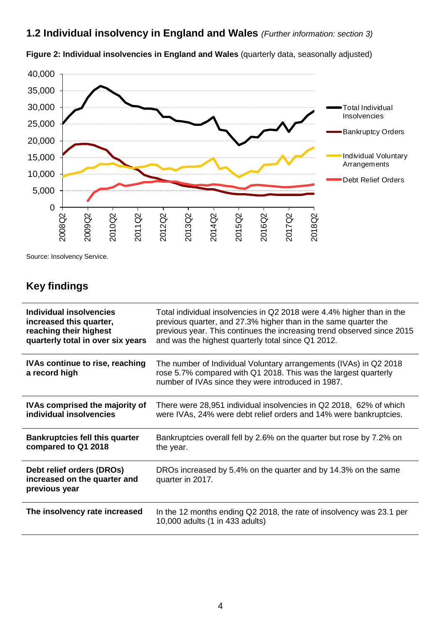**1.2 Individual insolvency in England and Wales** *(Further information: section 3)*



**Figure 2: Individual insolvencies in England and Wales** (quarterly data, seasonally adjusted)

Source: Insolvency Service.

## **Key findings**

| Individual insolvencies                                                    | Total individual insolvencies in Q2 2018 were 4.4% higher than in the                                                                                                                      |
|----------------------------------------------------------------------------|--------------------------------------------------------------------------------------------------------------------------------------------------------------------------------------------|
| increased this quarter,                                                    | previous quarter, and 27.3% higher than in the same quarter the                                                                                                                            |
| reaching their highest                                                     | previous year. This continues the increasing trend observed since 2015                                                                                                                     |
| quarterly total in over six years                                          | and was the highest quarterly total since Q1 2012.                                                                                                                                         |
| <b>IVAs continue to rise, reaching</b><br>a record high                    | The number of Individual Voluntary arrangements (IVAs) in Q2 2018<br>rose 5.7% compared with Q1 2018. This was the largest quarterly<br>number of IVAs since they were introduced in 1987. |
| <b>IVAs comprised the majority of</b>                                      | There were 28,951 individual insolvencies in Q2 2018, 62% of which                                                                                                                         |
| individual insolvencies                                                    | were IVAs, 24% were debt relief orders and 14% were bankruptcies.                                                                                                                          |
| <b>Bankruptcies fell this quarter</b>                                      | Bankruptcies overall fell by 2.6% on the quarter but rose by 7.2% on                                                                                                                       |
| compared to Q1 2018                                                        | the year.                                                                                                                                                                                  |
| Debt relief orders (DROs)<br>increased on the quarter and<br>previous year | DROs increased by 5.4% on the quarter and by 14.3% on the same<br>quarter in 2017.                                                                                                         |
| The insolvency rate increased                                              | In the 12 months ending Q2 2018, the rate of insolvency was 23.1 per<br>10,000 adults (1 in 433 adults)                                                                                    |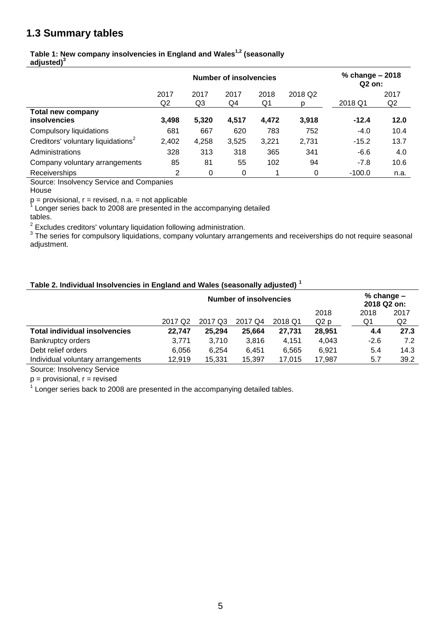## **1.3 Summary tables**

#### **Table 1: New company insolvencies in England and Wales1,2 (seasonally adjusted)<sup>3</sup>**

|                                                 |                        | <b>Number of insolvencies</b> | % change - 2018<br>Q2 on: |            |              |          |            |
|-------------------------------------------------|------------------------|-------------------------------|---------------------------|------------|--------------|----------|------------|
|                                                 | 2017<br>Q <sub>2</sub> | 2017<br>Q3                    | 2017<br>Q4                | 2018<br>Q1 | 2018 Q2<br>p | 2018 Q1  | 2017<br>Q2 |
| <b>Total new company</b><br><b>insolvencies</b> | 3,498                  | 5,320                         | 4.517                     | 4,472      | 3,918        | $-12.4$  | 12.0       |
| Compulsory liquidations                         | 681                    | 667                           | 620                       | 783        | 752          | $-4.0$   | 10.4       |
| Creditors' voluntary liquidations <sup>2</sup>  | 2,402                  | 4,258                         | 3,525                     | 3,221      | 2,731        | $-15.2$  | 13.7       |
| Administrations                                 | 328                    | 313                           | 318                       | 365        | 341          | $-6.6$   | 4.0        |
| Company voluntary arrangements                  | 85                     | 81                            | 55                        | 102        | 94           | $-7.8$   | 10.6       |
| Receiverships                                   | 2                      | 0                             | 0                         |            | 0            | $-100.0$ | n.a.       |

Source: Insolvency Service and Companies

House

p = provisional, r = revised, n.a. = not applicable<br><sup>1</sup> Langer series hack to 2008 are presented in th

Longer series back to 2008 are presented in the accompanying detailed

tables.

<sup>2</sup> Excludes creditors' voluntary liquidation following administration.<br><sup>3</sup> The series for compulsory liquidations, company voluntary arrangements and receiverships do not require seasonal adjustment.

#### **Table 2. Individual Insolvencies in England and Wales (seasonally adjusted) <sup>1</sup>**

|                                      | Number of insolvencies |         |         |         |                  |        | $%$ change $-$<br>2018 Q2 on: |  |
|--------------------------------------|------------------------|---------|---------|---------|------------------|--------|-------------------------------|--|
|                                      |                        |         |         |         | 2018             | 2018   | 2017                          |  |
|                                      | 2017 Q <sub>2</sub>    | 2017 Q3 | 2017 Q4 | 2018 Q1 | Q <sub>2</sub> p | Q1     | Q <sub>2</sub>                |  |
| <b>Total individual insolvencies</b> | 22.747                 | 25.294  | 25,664  | 27,731  | 28,951           | 4.4    | 27.3                          |  |
| <b>Bankruptcy orders</b>             | 3,771                  | 3.710   | 3,816   | 4.151   | 4,043            | $-2.6$ | 7.2                           |  |
| Debt relief orders                   | 6,056                  | 6.254   | 6.451   | 6.565   | 6.921            | 5.4    | 14.3                          |  |
| Individual voluntary arrangements    | 12,919                 | 15,331  | 15,397  | 17.015  | 17.987           | 5.7    | 39.2                          |  |

Source: Insolvency Service

 $p =$  provisional,  $r =$  revised

 $1$  Longer series back to 2008 are presented in the accompanying detailed tables.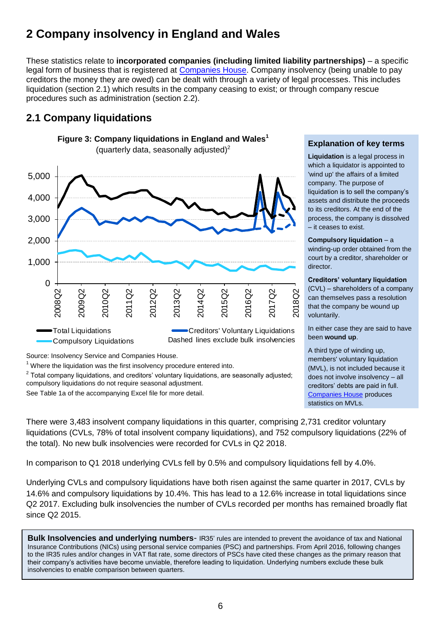# **2 Company insolvency in England and Wales**

These statistics relate to **incorporated companies (including limited liability partnerships)** – a specific legal form of business that is registered at [Companies House.](http://www.companieshouse.gov.uk/about/businessRegisterStat.shtml) Company insolvency (being unable to pay creditors the money they are owed) can be dealt with through a variety of legal processes. This includes liquidation (section 2.1) which results in the company ceasing to exist; or through company rescue procedures such as administration (section 2.2).

## **2.1 Company liquidations**



Source: Insolvency Service and Companies House.

 $1$  Where the liquidation was the first insolvency procedure entered into.

 $2$  Total company liquidations, and creditors' voluntary liquidations, are seasonally adjusted; compulsory liquidations do not require seasonal adjustment.

See Table 1a of the accompanying Excel file for more detail.

#### **Explanation of key terms**

**Liquidation** is a legal process in which a liquidator is appointed to 'wind up' the affairs of a limited company. The purpose of liquidation is to sell the company's assets and distribute the proceeds to its creditors. At the end of the process, the company is dissolved – it ceases to exist.

#### **Compulsory liquidation** – a

winding-up order obtained from the court by a creditor, shareholder or director.

#### <span id="page-5-0"></span>**Creditors' voluntary liquidation**

(CVL) – shareholders of a company can themselves pass a resolution that the company be wound up voluntarily.

In either case they are said to have been **wound up**.

A third type of winding up, members' voluntary liquidation (MVL), is not included because it does not involve insolvency – all creditors' debts are paid in full. [Companies House](http://www.companieshouse.gov.uk/about/businessRegisterStat.shtml) produces statistics on MVLs.

There were 3,483 insolvent company liquidations in this quarter, comprising 2,731 creditor voluntary liquidations (CVLs, 78% of total insolvent company liquidations), and 752 compulsory liquidations (22% of the total). No new bulk insolvencies were recorded for CVLs in Q2 2018.

In comparison to Q1 2018 underlying CVLs fell by 0.5% and compulsory liquidations fell by 4.0%.

Underlying CVLs and compulsory liquidations have both risen against the same quarter in 2017, CVLs by 14.6% and compulsory liquidations by 10.4%. This has lead to a 12.6% increase in total liquidations since Q2 2017. Excluding bulk insolvencies the number of CVLs recorded per months has remained broadly flat since Q2 2015.

**Bulk Insolvencies and underlying numbers**- IR35' rules are intended to prevent the avoidance of tax and National Insurance Contributions (NICs) using personal service companies (PSC) and partnerships. From April 2016, following changes to the IR35 rules and/or changes in VAT flat rate, some directors of PSCs have cited these changes as the primary reason that their company's activities have become unviable, therefore leading to liquidation. Underlying numbers exclude these bulk insolvencies to enable comparison between quarters.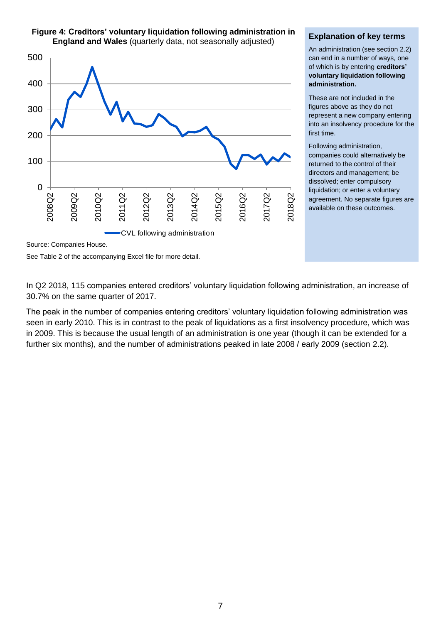

#### **Figure 4: Creditors' voluntary liquidation following administration in England and Wales** (quarterly data, not seasonally adjusted)

#### **Explanation of key terms**

An administration (see section 2.2) can end in a number of ways, one of which is by entering **creditors' voluntary liquidation following administration.**

These are not included in the figures above as they do not represent a new company entering into an insolvency procedure for the first time.

Following administration, companies could alternatively be returned to the control of their directors and management; be dissolved; enter compulsory liquidation; or enter a voluntary agreement. No separate figures are available on these outcomes.

Source: Companies House.

See Table 2 of the accompanying Excel file for more detail.

In Q2 2018, 115 companies entered creditors' voluntary liquidation following administration, an increase of 30.7% on the same quarter of 2017.

The peak in the number of companies entering creditors' voluntary liquidation following administration was seen in early 2010. This is in contrast to the peak of liquidations as a first insolvency procedure, which was in 2009. This is because the usual length of an administration is one year (though it can be extended for a further six months), and the number of administrations peaked in late 2008 / early 2009 (section 2.2).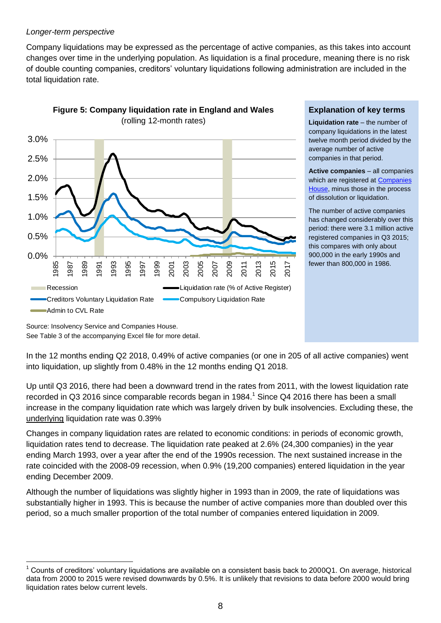#### *Longer-term perspective*

Company liquidations may be expressed as the percentage of active companies, as this takes into account changes over time in the underlying population. As liquidation is a final procedure, meaning there is no risk of double counting companies, creditors' voluntary liquidations following administration are included in the total liquidation rate.



**Figure 5: Company liquidation rate in England and Wales** (rolling 12-month rates)

#### **Explanation of key terms**

**Liquidation rate** – the number of company liquidations in the latest twelve month period divided by the average number of active companies in that period.

**Active companies** – all companies which are registered at **Companies** [House,](http://www.companieshouse.gov.uk/about/businessRegisterStat.shtml) minus those in the process of dissolution or liquidation.

The number of active companies has changed considerably over this period: there were 3.1 million active registered companies in Q3 2015; this compares with only about 900,000 in the early 1990s and fewer than 800,000 in 1986.

Source: Insolvency Service and Companies House. See Table 3 of the accompanying Excel file for more detail.

 $\overline{a}$ 

In the 12 months ending Q2 2018, 0.49% of active companies (or one in 205 of all active companies) went into liquidation, up slightly from 0.48% in the 12 months ending Q1 2018.

Up until Q3 2016, there had been a downward trend in the rates from 2011, with the lowest liquidation rate recorded in Q3 2016 since comparable records began in 1984.<sup>1</sup> Since Q4 2016 there has been a small increase in the company liquidation rate which was largely driven by bulk insolvencies. Excluding these, the underlying liquidation rate was 0.39%

Changes in company liquidation rates are related to economic conditions: in periods of economic growth, liquidation rates tend to decrease. The liquidation rate peaked at 2.6% (24,300 companies) in the year ending March 1993, over a year after the end of the 1990s recession. The next sustained increase in the rate coincided with the 2008-09 recession, when 0.9% (19,200 companies) entered liquidation in the year ending December 2009.

Although the number of liquidations was slightly higher in 1993 than in 2009, the rate of liquidations was substantially higher in 1993. This is because the number of active companies more than doubled over this period, so a much smaller proportion of the total number of companies entered liquidation in 2009.

<sup>1</sup> Counts of creditors' voluntary liquidations are available on a consistent basis back to 2000Q1. On average, historical data from 2000 to 2015 were revised downwards by 0.5%. It is unlikely that revisions to data before 2000 would bring liquidation rates below current levels.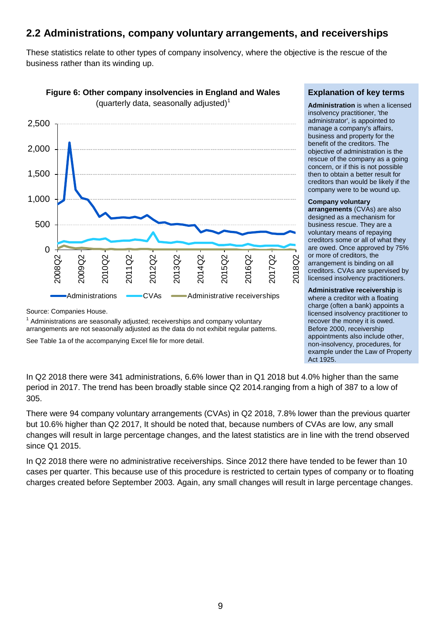### **2.2 Administrations, company voluntary arrangements, and receiverships**

These statistics relate to other types of company insolvency, where the objective is the rescue of the business rather than its winding up.



**Figure 6: Other company insolvencies in England and Wales** 

Source: Companies House.

 $1$  Administrations are seasonally adjusted; receiverships and company voluntary arrangements are not seasonally adjusted as the data do not exhibit regular patterns.

See Table 1a of the accompanying Excel file for more detail.

#### **Explanation of key terms**

**Administration** is when a licensed insolvency practitioner, 'the administrator', is appointed to manage a company's affairs, business and property for the benefit of the creditors. The objective of administration is the rescue of the company as a going concern, or if this is not possible then to obtain a better result for creditors than would be likely if the company were to be wound up.

#### **Company voluntary**

**arrangements** (CVAs) are also designed as a mechanism for business rescue. They are a voluntary means of repaying creditors some or all of what they are owed. Once approved by 75% or more of creditors, the arrangement is binding on all creditors. CVAs are supervised by licensed insolvency practitioners.

#### **Administrative receivership** is where a creditor with a floating charge (often a bank) appoints a licensed insolvency practitioner to recover the money it is owed. Before 2000, receivership appointments also include other, non-insolvency, procedures, for example under the Law of Property Act 1925.

In Q2 2018 there were 341 administrations, 6.6% lower than in Q1 2018 but 4.0% higher than the same period in 2017. The trend has been broadly stable since Q2 2014.ranging from a high of 387 to a low of 305.

There were 94 company voluntary arrangements (CVAs) in Q2 2018, 7.8% lower than the previous quarter but 10.6% higher than Q2 2017, It should be noted that, because numbers of CVAs are low, any small changes will result in large percentage changes, and the latest statistics are in line with the trend observed since Q1 2015.

In Q2 2018 there were no administrative receiverships. Since 2012 there have tended to be fewer than 10 cases per quarter. This because use of this procedure is restricted to certain types of company or to floating charges created before September 2003. Again, any small changes will result in large percentage changes.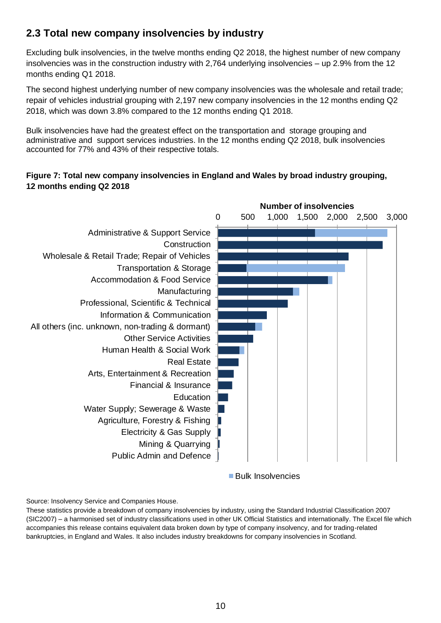## **2.3 Total new company insolvencies by industry**

Excluding bulk insolvencies, in the twelve months ending Q2 2018, the highest number of new company insolvencies was in the construction industry with 2,764 underlying insolvencies – up 2.9% from the 12 months ending Q1 2018.

The second highest underlying number of new company insolvencies was the wholesale and retail trade; repair of vehicles industrial grouping with 2,197 new company insolvencies in the 12 months ending Q2 2018, which was down 3.8% compared to the 12 months ending Q1 2018.

Bulk insolvencies have had the greatest effect on the transportation and storage grouping and administrative and support services industries. In the 12 months ending Q2 2018, bulk insolvencies accounted for 77% and 43% of their respective totals.

#### **Figure 7: Total new company insolvencies in England and Wales by broad industry grouping, 12 months ending Q2 2018**



Bulk Insolvencies

Source: Insolvency Service and Companies House.

These statistics provide a breakdown of company insolvencies by industry, using the Standard Industrial Classification 2007 (SIC2007) – a harmonised set of industry classifications used in other UK Official Statistics and internationally. The Excel file which accompanies this release contains equivalent data broken down by type of company insolvency, and for trading-related bankruptcies, in England and Wales. It also includes industry breakdowns for company insolvencies in Scotland.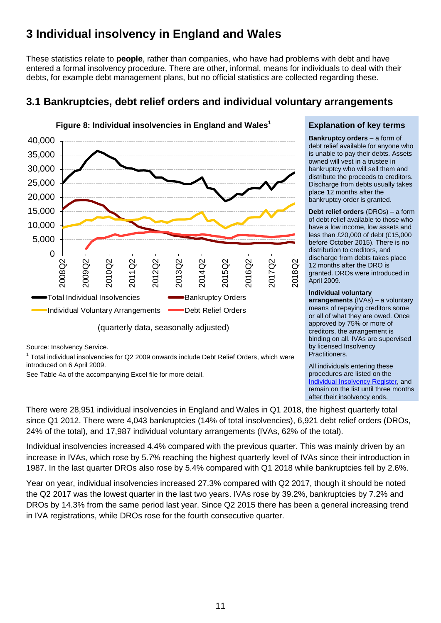# **3 Individual insolvency in England and Wales**

These statistics relate to **people**, rather than companies, who have had problems with debt and have entered a formal insolvency procedure. There are other, informal, means for individuals to deal with their debts, for example debt management plans, but no official statistics are collected regarding these.



## **3.1 Bankruptcies, debt relief orders and individual voluntary arrangements**

Source: Insolvency Service.

 $1$  Total individual insolvencies for Q2 2009 onwards include Debt Relief Orders, which were introduced on 6 April 2009.

See Table 4a of the accompanying Excel file for more detail.

#### **Explanation of key terms**

**Bankruptcy orders** – a form of debt relief available for anyone who is unable to pay their debts. Assets owned will vest in a trustee in bankruptcy who will sell them and distribute the proceeds to creditors. Discharge from debts usually takes place 12 months after the bankruptcy order is granted.

**Debt relief orders** (DROs) – a form of debt relief available to those who have a low income, low assets and less than £20,000 of debt (£15,000 before October 2015). There is no distribution to creditors, and discharge from debts takes place 12 months after the DRO is granted. DROs were introduced in April 2009.

#### **Individual voluntary**

**arrangements** (IVAs) – a voluntary means of repaying creditors some or all of what they are owed. Once approved by 75% or more of creditors, the arrangement is binding on all. IVAs are supervised by licensed Insolvency Practitioners.

All individuals entering these procedures are listed on the [Individual Insolvency Register,](https://www.gov.uk/search-bankruptcy-insolvency-register) and remain on the list until three months after their insolvency ends.

There were 28,951 individual insolvencies in England and Wales in Q1 2018, the highest quarterly total since Q1 2012. There were 4,043 bankruptcies (14% of total insolvencies), 6,921 debt relief orders (DROs, 24% of the total), and 17,987 individual voluntary arrangements (IVAs, 62% of the total).

Individual insolvencies increased 4.4% compared with the previous quarter. This was mainly driven by an increase in IVAs, which rose by 5.7% reaching the highest quarterly level of IVAs since their introduction in 1987. In the last quarter DROs also rose by 5.4% compared with Q1 2018 while bankruptcies fell by 2.6%.

Year on year, individual insolvencies increased 27.3% compared with Q2 2017, though it should be noted the Q2 2017 was the lowest quarter in the last two years. IVAs rose by 39.2%, bankruptcies by 7.2% and DROs by 14.3% from the same period last year. Since Q2 2015 there has been a general increasing trend in IVA registrations, while DROs rose for the fourth consecutive quarter.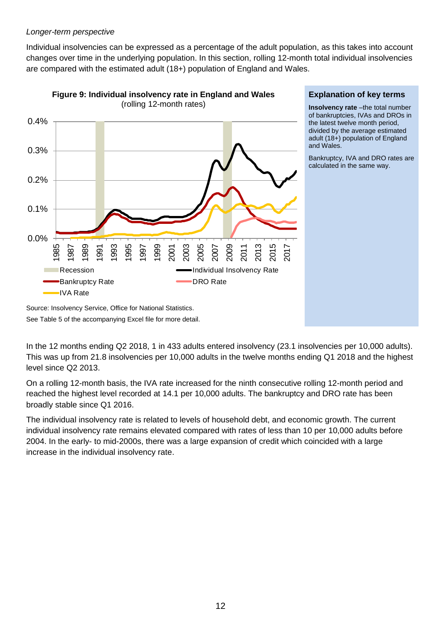#### *Longer-term perspective*

Individual insolvencies can be expressed as a percentage of the adult population, as this takes into account changes over time in the underlying population. In this section, rolling 12-month total individual insolvencies are compared with the estimated adult (18+) population of England and Wales.



#### **Explanation of key terms**

**Insolvency rate** –the total number of bankruptcies, IVAs and DROs in the latest twelve month period, divided by the average estimated adult (18+) population of England and Wales.

Bankruptcy, IVA and DRO rates are calculated in the same way.

Source: Insolvency Service, Office for National Statistics. See Table 5 of the accompanying Excel file for more detail.

In the 12 months ending Q2 2018, 1 in 433 adults entered insolvency (23.1 insolvencies per 10,000 adults). This was up from 21.8 insolvencies per 10,000 adults in the twelve months ending Q1 2018 and the highest level since Q2 2013.

On a rolling 12-month basis, the IVA rate increased for the ninth consecutive rolling 12-month period and reached the highest level recorded at 14.1 per 10,000 adults. The bankruptcy and DRO rate has been broadly stable since Q1 2016.

The individual insolvency rate is related to levels of household debt, and economic growth. The current individual insolvency rate remains elevated compared with rates of less than 10 per 10,000 adults before 2004. In the early- to mid-2000s, there was a large expansion of credit which coincided with a large increase in the individual insolvency rate.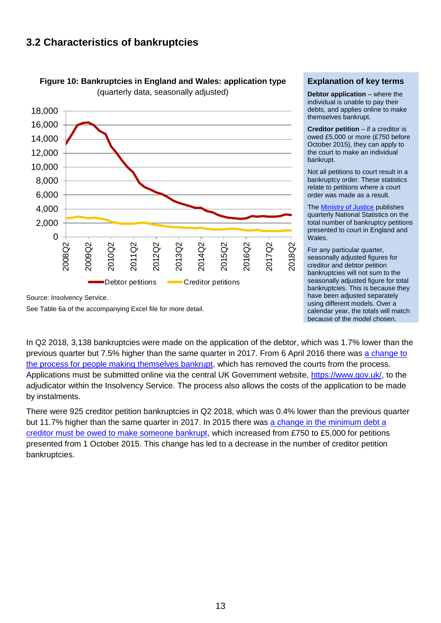### **3.2 Characteristics of bankruptcies**





Source: Insolvency Service.

See Table 6a of the accompanying Excel file for more detail.

#### **Explanation of key terms**

**Debtor application** – where the individual is unable to pay their debts, and applies online to make themselves bankrupt.

**Creditor petition** – if a creditor is owed £5,000 or more (£750 before October 2015), they can apply to the court to make an individual bankrupt.

Not all petitions to court result in a bankruptcy order. These statistics relate to petitions where a court order was made as a result.

The [Ministry of Justice](https://www.gov.uk/government/collections/civil-justice-statistics-quarterly) publishes quarterly National Statistics on the total number of bankruptcy petitions presented to court in England and Wales.

For any particular quarter, seasonally adjusted figures for creditor and debtor petition bankruptcies will not sum to the seasonally adjusted figure for total bankruptcies. This is because they have been adjusted separately using different models. Over a calendar year, the totals will match because of the model chosen.

In Q2 2018, 3,138 bankruptcies were made on the application of the debtor, which was 1.7% lower than the previous quarter but 7.5% higher than the same quarter in 2017. From 6 April 2016 there was [a change to](https://www.gov.uk/government/news/changes-to-the-bankruptcy-application-process-what-you-need-to-know)  [the process for people making themselves bankrupt,](https://www.gov.uk/government/news/changes-to-the-bankruptcy-application-process-what-you-need-to-know) which has removed the courts from the process. Applications must be submitted online via the central UK Government website, [https://www.gov.uk/,](https://www.gov.uk/) to the adjudicator within the Insolvency Service. The process also allows the costs of the application to be made by instalments.

There were 925 creditor petition bankruptcies in Q2 2018, which was 0.4% lower than the previous quarter but 11.7% higher than the same quarter in 2017. In 2015 there was [a change in the minimum debt a](https://www.gov.uk/government/news/more-help-for-people-with-personal-problem-debt)  [creditor must be owed to make someone bankrupt,](https://www.gov.uk/government/news/more-help-for-people-with-personal-problem-debt) which increased from £750 to £5,000 for petitions presented from 1 October 2015. This change has led to a decrease in the number of creditor petition bankruptcies.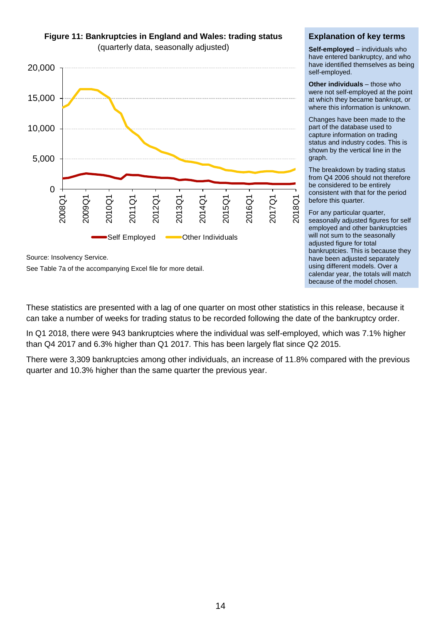

**Figure 11: Bankruptcies in England and Wales: trading status**  (quarterly data, seasonally adjusted)

Source: Insolvency Service.

See Table 7a of the accompanying Excel file for more detail.

#### **Explanation of key terms**

**Self-employed** – individuals who have entered bankruptcy, and who have identified themselves as being self-employed.

**Other individuals** – those who were not self-employed at the point at which they became bankrupt, or where this information is unknown.

Changes have been made to the part of the database used to capture information on trading status and industry codes. This is shown by the vertical line in the graph.

The breakdown by trading status from Q4 2006 should not therefore be considered to be entirely consistent with that for the period before this quarter.

For any particular quarter, seasonally adjusted figures for self employed and other bankruptcies will not sum to the seasonally adjusted figure for total bankruptcies. This is because they have been adjusted separately using different models. Over a calendar year, the totals will match because of the model chosen.

These statistics are presented with a lag of one quarter on most other statistics in this release, because it can take a number of weeks for trading status to be recorded following the date of the bankruptcy order.

In Q1 2018, there were 943 bankruptcies where the individual was self-employed, which was 7.1% higher than Q4 2017 and 6.3% higher than Q1 2017. This has been largely flat since Q2 2015.

There were 3,309 bankruptcies among other individuals, an increase of 11.8% compared with the previous quarter and 10.3% higher than the same quarter the previous year.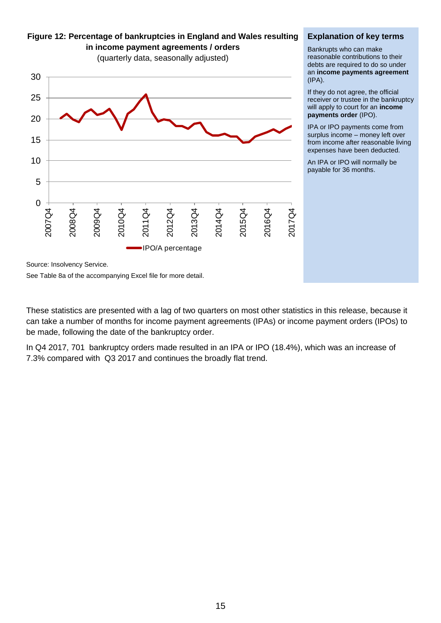0 5 10 15 20 25 30 2007Q4 2008Q4 2009Q4 2010Q4 2011Q4 2012Q4 2013Q4 2014Q4 2015Q4 2016Q4 2017Q4 IPO/A percentage

#### **Figure 12: Percentage of bankruptcies in England and Wales resulting in income payment agreements / orders**

(quarterly data, seasonally adjusted)

#### **Explanation of key terms**

Bankrupts who can make reasonable contributions to their debts are required to do so under an **income payments agreement** (IPA).

If they do not agree, the official receiver or trustee in the bankruptcy will apply to court for an **income payments order** (IPO).

IPA or IPO payments come from surplus income – money left over from income after reasonable living expenses have been deducted.

An IPA or IPO will normally be payable for 36 months.

Source: Insolvency Service.

See Table 8a of the accompanying Excel file for more detail.

These statistics are presented with a lag of two quarters on most other statistics in this release, because it can take a number of months for income payment agreements (IPAs) or income payment orders (IPOs) to be made, following the date of the bankruptcy order.

In Q4 2017, 701 bankruptcy orders made resulted in an IPA or IPO (18.4%), which was an increase of 7.3% compared with Q3 2017 and continues the broadly flat trend.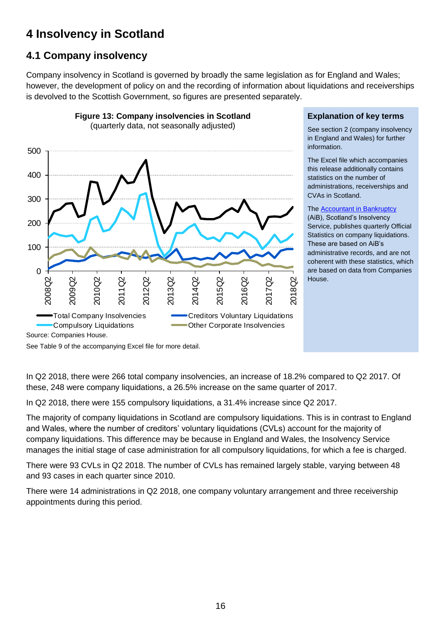# **4 Insolvency in Scotland**

## **4.1 Company insolvency**

Company insolvency in Scotland is governed by broadly the same legislation as for England and Wales; however, the development of policy on and the recording of information about liquidations and receiverships is devolved to the Scottish Government, so figures are presented separately.



**Figure 13: Company insolvencies in Scotland** 

#### **Explanation of key terms**

See section 2 (company insolvency in England and Wales) for further information.

The Excel file which accompanies this release additionally contains statistics on the number of administrations, receiverships and CVAs in Scotland.

#### The [Accountant in Bankruptcy](http://www.aib.gov.uk/)

(AiB), Scotland's Insolvency Service, publishes quarterly Official Statistics on company liquidations. These are based on AiB's administrative records, and are not coherent with these statistics, which are based on data from Companies House.

See Table 9 of the accompanying Excel file for more detail.

In Q2 2018, there were 266 total company insolvencies, an increase of 18.2% compared to Q2 2017. Of these, 248 were company liquidations, a 26.5% increase on the same quarter of 2017.

In Q2 2018, there were 155 compulsory liquidations, a 31.4% increase since Q2 2017.

The majority of company liquidations in Scotland are compulsory liquidations. This is in contrast to England and Wales, where the number of creditors' voluntary liquidations (CVLs) account for the majority of company liquidations. This difference may be because in England and Wales, the Insolvency Service manages the initial stage of case administration for all compulsory liquidations, for which a fee is charged.

There were 93 CVLs in Q2 2018. The number of CVLs has remained largely stable, varying between 48 and 93 cases in each quarter since 2010.

There were 14 administrations in Q2 2018, one company voluntary arrangement and three receivership appointments during this period.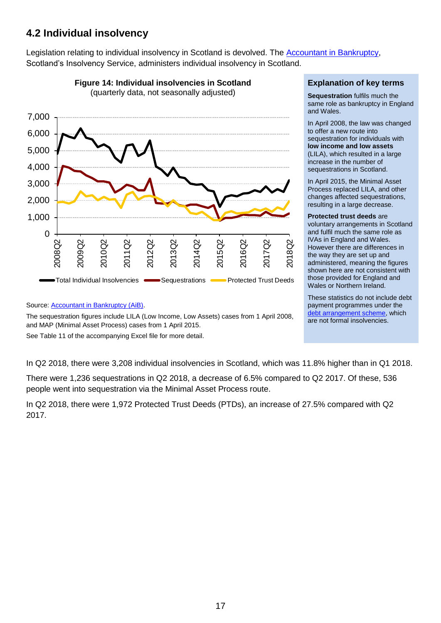## **4.2 Individual insolvency**

Legislation relating to individual insolvency in Scotland is devolved. The [Accountant in Bankruptcy,](http://www.aib.gov.uk/) Scotland's Insolvency Service, administers individual insolvency in Scotland.



**Figure 14: Individual insolvencies in Scotland** 

#### **Explanation of key terms**

**Sequestration** fulfils much the same role as bankruptcy in England and Wales.

In April 2008, the law was changed to offer a new route into sequestration for individuals with **low income and low assets** (LILA), which resulted in a large increase in the number of sequestrations in Scotland.

In April 2015, the Minimal Asset Process replaced LILA, and other changes affected sequestrations, resulting in a large decrease.

**Protected trust deeds** are voluntary arrangements in Scotland and fulfil much the same role as IVAs in England and Wales. However there are differences in the way they are set up and administered, meaning the figures shown here are not consistent with those provided for England and Wales or Northern Ireland.

These statistics do not include debt payment programmes under the [debt arrangement scheme,](http://www.dasscotland.gov.uk/home) which are not formal insolvencies.

Source: [Accountant in Bankruptcy \(AiB\).](https://www.aib.gov.uk/about-aib/statistics-data/quarterly-reports)

The sequestration figures include LILA (Low Income, Low Assets) cases from 1 April 2008, and MAP (Minimal Asset Process) cases from 1 April 2015.

See Table 11 of the accompanying Excel file for more detail.

In Q2 2018, there were 3,208 individual insolvencies in Scotland, which was 11.8% higher than in Q1 2018.

There were 1,236 sequestrations in Q2 2018, a decrease of 6.5% compared to Q2 2017. Of these, 536 people went into sequestration via the Minimal Asset Process route.

In Q2 2018, there were 1,972 Protected Trust Deeds (PTDs), an increase of 27.5% compared with Q2 2017.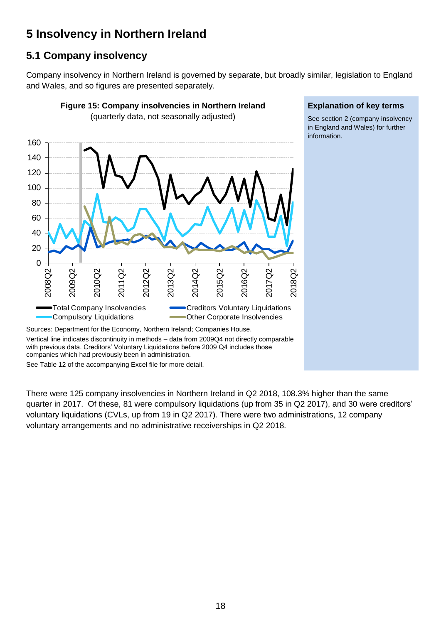# **5 Insolvency in Northern Ireland**

## **5.1 Company insolvency**

Company insolvency in Northern Ireland is governed by separate, but broadly similar, legislation to England and Wales, and so figures are presented separately.



See Table 12 of the accompanying Excel file for more detail.

There were 125 company insolvencies in Northern Ireland in Q2 2018, 108.3% higher than the same quarter in 2017. Of these, 81 were compulsory liquidations (up from 35 in Q2 2017), and 30 were creditors' voluntary liquidations (CVLs, up from 19 in Q2 2017). There were two administrations, 12 company voluntary arrangements and no administrative receiverships in Q2 2018.

#### **Explanation of key terms**

See section 2 (company insolvency in England and Wales) for further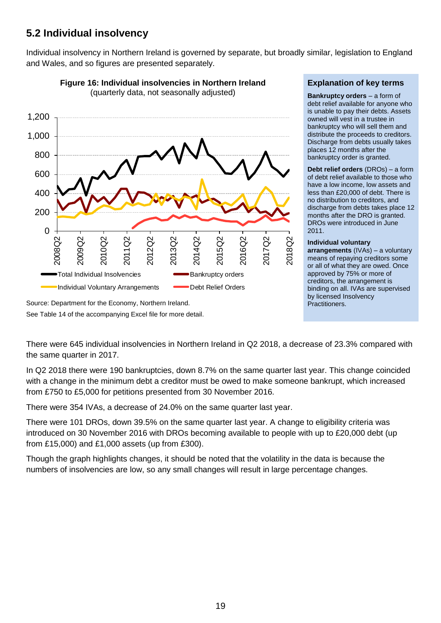## **5.2 Individual insolvency**

Individual insolvency in Northern Ireland is governed by separate, but broadly similar, legislation to England and Wales, and so figures are presented separately.



**Figure 16: Individual insolvencies in Northern Ireland**  (quarterly data, not seasonally adjusted)

#### **Explanation of key terms**

**Bankruptcy orders** – a form of debt relief available for anyone who is unable to pay their debts. Assets owned will vest in a trustee in bankruptcy who will sell them and distribute the proceeds to creditors. Discharge from debts usually takes places 12 months after the bankruptcy order is granted.

**Debt relief orders** (DROs) – a form of debt relief available to those who have a low income, low assets and less than £20,000 of debt. There is no distribution to creditors, and discharge from debts takes place 12 months after the DRO is granted. DROs were introduced in June 2011.

#### **Individual voluntary**

**arrangements** (IVAs) – a voluntary means of repaying creditors some or all of what they are owed. Once approved by 75% or more of creditors, the arrangement is binding on all. IVAs are supervised by licensed Insolvency Practitioners.

Source: Department for the Economy, Northern Ireland.

See Table 14 of the accompanying Excel file for more detail.

There were 645 individual insolvencies in Northern Ireland in Q2 2018, a decrease of 23.3% compared with the same quarter in 2017.

In Q2 2018 there were 190 bankruptcies, down 8.7% on the same quarter last year. This change coincided with a change in the minimum debt a creditor must be owed to make someone bankrupt, which increased from £750 to £5,000 for petitions presented from 30 November 2016.

There were 354 IVAs, a decrease of 24.0% on the same quarter last year.

There were 101 DROs, down 39.5% on the same quarter last year. A change to eligibility criteria was introduced on 30 November 2016 with DROs becoming available to people with up to £20,000 debt (up from £15,000) and £1,000 assets (up from £300).

Though the graph highlights changes, it should be noted that the volatility in the data is because the numbers of insolvencies are low, so any small changes will result in large percentage changes.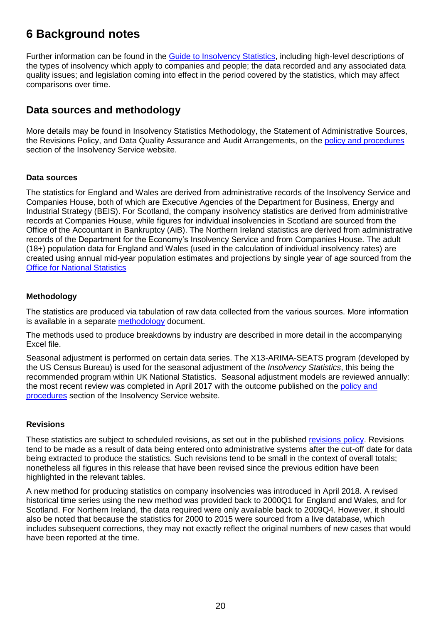# **6 Background notes**

Further information can be found in the [Guide to Insolvency Statistics,](https://www.gov.uk/government/collections/insolvency-service-official-statistics) including high-level descriptions of the types of insolvency which apply to companies and people; the data recorded and any associated data quality issues; and legislation coming into effect in the period covered by the statistics, which may affect comparisons over time.

### **Data sources and methodology**

More details may be found in Insolvency Statistics Methodology, the Statement of Administrative Sources, the Revisions Policy, and Data Quality Assurance and Audit Arrangements, on the [policy and procedures](https://www.gov.uk/government/publications/insolvency-statistics-policy-and-procedures) section of the Insolvency Service website.

#### **Data sources**

The statistics for England and Wales are derived from administrative records of the Insolvency Service and Companies House, both of which are Executive Agencies of the Department for Business, Energy and Industrial Strategy (BEIS). For Scotland, the company insolvency statistics are derived from administrative records at Companies House, while figures for individual insolvencies in Scotland are sourced from the Office of the Accountant in Bankruptcy (AiB). The Northern Ireland statistics are derived from administrative records of the Department for the Economy's Insolvency Service and from Companies House. The adult (18+) population data for England and Wales (used in the calculation of individual insolvency rates) are created using annual mid-year population estimates and projections by single year of age sourced from the [Office for National Statistics](http://www.ons.gov.uk/ons/taxonomy/index.html?nscl=Population+Estimates)

#### **Methodology**

The statistics are produced via tabulation of raw data collected from the various sources. More information is available in a separate [methodology](https://www.gov.uk/government/publications/insolvency-statistics-policy-and-procedures) document.

The methods used to produce breakdowns by industry are described in more detail in the accompanying Excel file.

Seasonal adjustment is performed on certain data series. The X13-ARIMA-SEATS program (developed by the US Census Bureau) is used for the seasonal adjustment of the *Insolvency Statistics*, this being the recommended program within UK National Statistics. Seasonal adjustment models are reviewed annually: the most recent review was completed in April 2017 with the outcome published on the [policy and](https://www.gov.uk/government/publications/insolvency-statistics-policy-and-procedures)  [procedures](https://www.gov.uk/government/publications/insolvency-statistics-policy-and-procedures) section of the Insolvency Service website.

#### **Revisions**

These statistics are subject to scheduled revisions, as set out in the published [revisions policy.](https://www.gov.uk/government/publications/insolvency-statistics-policy-and-procedures) Revisions tend to be made as a result of data being entered onto administrative systems after the cut-off date for data being extracted to produce the statistics. Such revisions tend to be small in the context of overall totals; nonetheless all figures in this release that have been revised since the previous edition have been highlighted in the relevant tables.

A new method for producing statistics on company insolvencies was introduced in April 2018. A revised historical time series using the new method was provided back to 2000Q1 for England and Wales, and for Scotland. For Northern Ireland, the data required were only available back to 2009Q4. However, it should also be noted that because the statistics for 2000 to 2015 were sourced from a live database, which includes subsequent corrections, they may not exactly reflect the original numbers of new cases that would have been reported at the time.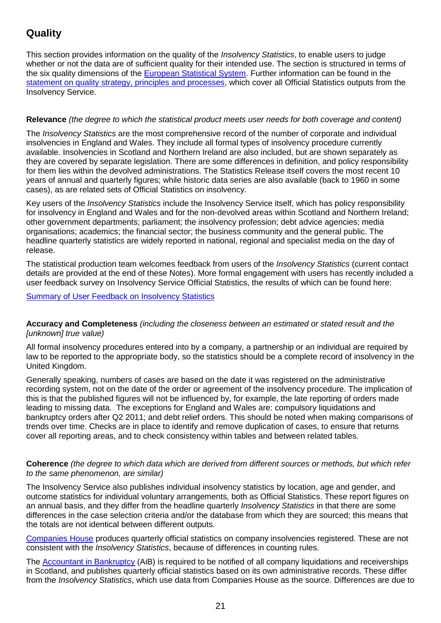## **Quality**

This section provides information on the quality of the *Insolvency Statistics*, to enable users to judge whether or not the data are of sufficient quality for their intended use. The section is structured in terms of the six quality dimensions of the [European Statistical System.](http://www.statistics.gr/portal/page/portal/ESYE/BUCKET/General/code_of_practice_en.pdf) Further information can be found in the [statement on quality strategy, principles and processes,](https://www.gov.uk/government/publications/insolvency-statistics-policy-and-procedures) which cover all Official Statistics outputs from the Insolvency Service.

#### **Relevance** *(the degree to which the statistical product meets user needs for both coverage and content)*

The *Insolvency Statistics* are the most comprehensive record of the number of corporate and individual insolvencies in England and Wales. They include all formal types of insolvency procedure currently available. Insolvencies in Scotland and Northern Ireland are also included, but are shown separately as they are covered by separate legislation. There are some differences in definition, and policy responsibility for them lies within the devolved administrations. The Statistics Release itself covers the most recent 10 years of annual and quarterly figures; while historic data series are also available (back to 1960 in some cases), as are related sets of Official Statistics on insolvency.

Key users of the *Insolvency Statistics* include the Insolvency Service itself, which has policy responsibility for insolvency in England and Wales and for the non-devolved areas within Scotland and Northern Ireland; other government departments; parliament; the insolvency profession; debt advice agencies; media organisations; academics; the financial sector; the business community and the general public. The headline quarterly statistics are widely reported in national, regional and specialist media on the day of release.

The statistical production team welcomes feedback from users of the *Insolvency Statistics* (current contact details are provided at the end of these Notes). More formal engagement with users has recently included a user feedback survey on Insolvency Service Official Statistics, the results of which can be found here:

#### [Summary of User Feedback on Insolvency Statistics](https://www.gov.uk/government/publications/insolvency-service-statistics-user-engagement-feedback)

#### **Accuracy and Completeness** *(including the closeness between an estimated or stated result and the [unknown] true value)*

All formal insolvency procedures entered into by a company, a partnership or an individual are required by law to be reported to the appropriate body, so the statistics should be a complete record of insolvency in the United Kingdom.

Generally speaking, numbers of cases are based on the date it was registered on the administrative recording system, not on the date of the order or agreement of the insolvency procedure. The implication of this is that the published figures will not be influenced by, for example, the late reporting of orders made leading to missing data. The exceptions for England and Wales are: compulsory liquidations and bankruptcy orders after Q2 2011; and debt relief orders. This should be noted when making comparisons of trends over time. Checks are in place to identify and remove duplication of cases, to ensure that returns cover all reporting areas, and to check consistency within tables and between related tables.

#### **Coherence** *(the degree to which data which are derived from different sources or methods, but which refer to the same phenomenon, are similar)*

The Insolvency Service also publishes individual insolvency statistics by location, age and gender, and outcome statistics for individual voluntary arrangements, both as Official Statistics. These report figures on an annual basis, and they differ from the headline quarterly *Insolvency Statistics* in that there are some differences in the case selection criteria and/or the database from which they are sourced; this means that the totals are not identical between different outputs.

[Companies House](http://www.companieshouse.gov.uk/about/businessRegisterStat.shtml) produces quarterly official statistics on company insolvencies registered. These are not consistent with the *Insolvency Statistics*, because of differences in counting rules.

The [Accountant in Bankruptcy](http://www.aib.gov.uk/) (AiB) is required to be notified of all company liquidations and receiverships in Scotland, and publishes quarterly official statistics based on its own administrative records. These differ from the *Insolvency Statistics*, which use data from Companies House as the source. Differences are due to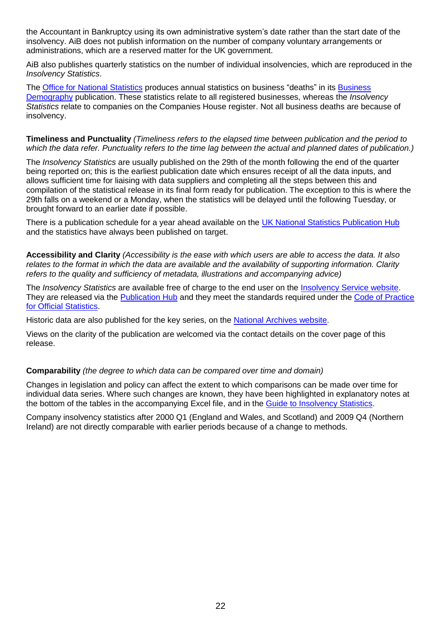the Accountant in Bankruptcy using its own administrative system's date rather than the start date of the insolvency. AiB does not publish information on the number of company voluntary arrangements or administrations, which are a reserved matter for the UK government.

AiB also publishes quarterly statistics on the number of individual insolvencies, which are reproduced in the *Insolvency Statistics*.

The [Office for National Statistics](http://www.ons.gov.uk/ons/index.html) produces annual statistics on business "deaths" in its [Business](http://www.ons.gov.uk/ons/rel/bus-register/business-demography/index.html)  [Demography](http://www.ons.gov.uk/ons/rel/bus-register/business-demography/index.html) publication. These statistics relate to all registered businesses, whereas the *Insolvency Statistics* relate to companies on the Companies House register. Not all business deaths are because of insolvency.

#### **Timeliness and Punctuality** *(Timeliness refers to the elapsed time between publication and the period to which the data refer. Punctuality refers to the time lag between the actual and planned dates of publication.)*

The *Insolvency Statistics* are usually published on the 29th of the month following the end of the quarter being reported on; this is the earliest publication date which ensures receipt of all the data inputs, and allows sufficient time for liaising with data suppliers and completing all the steps between this and compilation of the statistical release in its final form ready for publication. The exception to this is where the 29th falls on a weekend or a Monday, when the statistics will be delayed until the following Tuesday, or brought forward to an earlier date if possible.

There is a publication schedule for a year ahead available on the [UK National Statistics Publication Hub](https://www.gov.uk/government/statistics/announcements?utf8=%E2%9C%93&keywords=&topics%5B%5D=&organisations%5B%5D=insolvency-service&from_date=&to_date=&commit=Refresh+results) and the statistics have always been published on target.

**Accessibility and Clarity** *(Accessibility is the ease with which users are able to access the data. It also relates to the format in which the data are available and the availability of supporting information. Clarity refers to the quality and sufficiency of metadata, illustrations and accompanying advice)*

The *Insolvency Statistics* are available free of charge to the end user on the [Insolvency Service website.](https://www.gov.uk/government/collections/insolvency-service-official-statistics) They are released via the [Publication Hub](https://www.gov.uk/government/statistics/announcements?utf8=%E2%9C%93&keywords=&topics%5B%5D=&organisations%5B%5D=insolvency-service&from_date=&to_date=&commit=Refresh+results) and they meet the standards required under the [Code of Practice](http://www.statisticsauthority.gov.uk/assessment/code-of-practice/index.html)  [for Official Statistics.](http://www.statisticsauthority.gov.uk/assessment/code-of-practice/index.html)

Historic data are also published for the key series, on the [National Archives website.](http://webarchive.nationalarchives.gov.uk/20140311023846/http:/bis.gov.uk/insolvency/About-us/our-performance-statistics/insolvency-statistics)

Views on the clarity of the publication are welcomed via the contact details on the cover page of this release.

#### **Comparability** *(the degree to which data can be compared over time and domain)*

Changes in legislation and policy can affect the extent to which comparisons can be made over time for individual data series. Where such changes are known, they have been highlighted in explanatory notes at the bottom of the tables in the accompanying Excel file, and in the [Guide to Insolvency Statistics.](https://www.gov.uk/government/collections/insolvency-service-official-statistics)

Company insolvency statistics after 2000 Q1 (England and Wales, and Scotland) and 2009 Q4 (Northern Ireland) are not directly comparable with earlier periods because of a change to methods.